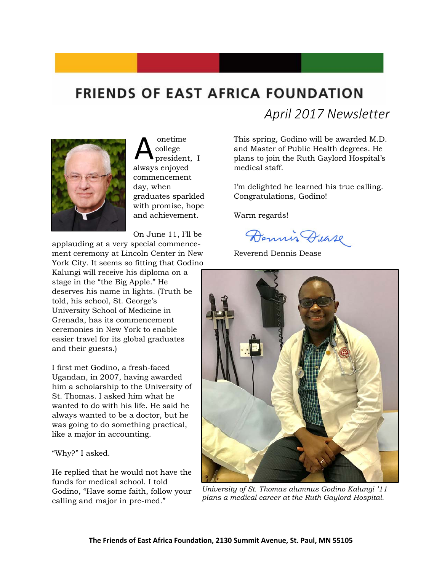# **FRIENDS OF EAST AFRICA FOUNDATION**



onetime college president, I always enjoyed commencement day, when graduates sparkled with promise, hope and achievement. A

On June 11, I'll be

applauding at a very special commencement ceremony at Lincoln Center in New York City. It seems so fitting that Godino Kalungi will receive his diploma on a stage in the "the Big Apple." He deserves his name in lights. (Truth be told, his school, St. George's University School of Medicine in Grenada, has its commencement ceremonies in New York to enable easier travel for its global graduates and their guests.)

I first met Godino, a fresh-faced Ugandan, in 2007, having awarded him a scholarship to the University of St. Thomas. I asked him what he wanted to do with his life. He said he always wanted to be a doctor, but he was going to do something practical, like a major in accounting.

#### "Why?" I asked.

He replied that he would not have the funds for medical school. I told Godino, "Have some faith, follow your calling and major in pre-med."

*April 2017 Newsletter*

This spring, Godino will be awarded M.D. and Master of Public Health degrees. He plans to join the Ruth Gaylord Hospital's medical staff.

I'm delighted he learned his true calling. Congratulations, Godino!

Warm regards!

Dennis Dease

Reverend Dennis Dease



*University of St. Thomas alumnus Godino Kalungi '11 plans a medical career at the Ruth Gaylord Hospital.*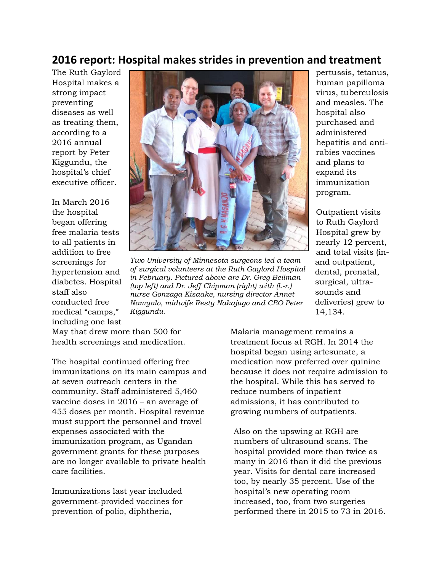### **2016 report: Hospital makes strides in prevention and treatment**

The Ruth Gaylord Hospital makes a strong impact preventing diseases as well as treating them, according to a 2016 annual report by Peter Kiggundu, the hospital's chief executive officer.

In March 2016 the hospital began offering free malaria tests to all patients in addition to free screenings for hypertension and diabetes. Hospital staff also conducted free medical "camps," including one last



*Two University of Minnesota surgeons led a team of surgical volunteers at the Ruth Gaylord Hospital in February. Pictured above are Dr. Greg Beilman (top left) and Dr. Jeff Chipman (right) with (l.-r.) nurse Gonzaga Kisaake, nursing director Annet Namyalo, midwife Resty Nakajugo and CEO Peter Kiggundu.* 

pertussis, tetanus, human papilloma virus, tuberculosis and measles. The hospital also purchased and administered hepatitis and antirabies vaccines and plans to expand its immunization program.

Outpatient visits to Ruth Gaylord Hospital grew by nearly 12 percent, and total visits (inand outpatient, dental, prenatal, surgical, ultrasounds and deliveries) grew to 14,134.

May that drew more than 500 for health screenings and medication.

The hospital continued offering free immunizations on its main campus and at seven outreach centers in the community. Staff administered 5,460 vaccine doses in 2016 – an average of 455 doses per month. Hospital revenue must support the personnel and travel expenses associated with the immunization program, as Ugandan government grants for these purposes are no longer available to private health care facilities.

Immunizations last year included government-provided vaccines for prevention of polio, diphtheria,

Malaria management remains a treatment focus at RGH. In 2014 the hospital began using artesunate, a medication now preferred over quinine because it does not require admission to the hospital. While this has served to reduce numbers of inpatient admissions, it has contributed to growing numbers of outpatients.

Also on the upswing at RGH are numbers of ultrasound scans. The hospital provided more than twice as many in 2016 than it did the previous year. Visits for dental care increased too, by nearly 35 percent. Use of the hospital's new operating room increased, too, from two surgeries performed there in 2015 to 73 in 2016.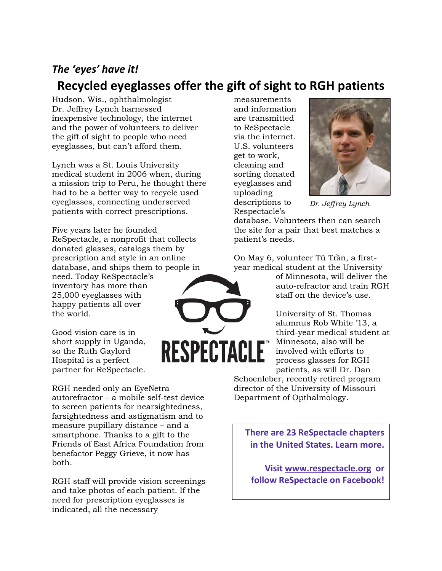#### *The 'eyes' have it!*

## **Recycled eyeglasses offer the gift of sight to RGH patients**

Hudson, Wis., ophthalmologist Dr. Jeffrey Lynch harnessed inexpensive technology, the internet and the power of volunteers to deliver the gift of sight to people who need eyeglasses, but can't afford them.

Lynch was a St. Louis University medical student in 2006 when, during a mission trip to Peru, he thought there had to be a better way to recycle used eyeglasses, connecting underserved patients with correct prescriptions.

Five years later he founded ReSpectacle, a nonprofit that collects donated glasses, catalogs them by prescription and style in an online database, and ships them to people in need. Today ReSpectacle's inventory has more than 25,000 eyeglasses with happy patients all over the world.

Good vision care is in short supply in Uganda, so the Ruth Gaylord Hospital is a perfect partner for ReSpectacle.

RGH needed only an EyeNetra autorefractor – a mobile self-test device to screen patients for nearsightedness, farsightedness and astigmatism and to measure pupillary distance – and a smartphone. Thanks to a gift to the Friends of East Africa Foundation from benefactor Peggy Grieve, it now has both.

RGH staff will provide vision screenings and take photos of each patient. If the need for prescription eyeglasses is indicated, all the necessary

measurements and information are transmitted to ReSpectacle via the internet. U.S. volunteers get to work, cleaning and sorting donated eyeglasses and uploading descriptions to Respectacle's



*Dr. Jeffrey Lynch*

database. Volunteers then can search the site for a pair that best matches a patient's needs.

On May 6, volunteer Tú Trần, a firstyear medical student at the University

of Minnesota, will deliver the auto-refractor and train RGH staff on the device's use.

University of St. Thomas alumnus Rob White '13, a third-year medical student at Minnesota, also will be involved with efforts to process glasses for RGH patients, as will Dr. Dan

Schoenleber, recently retired program director of the University of Missouri Department of Opthalmology.

**There are 23 ReSpectacle chapters in the United States. Learn more.** 

**Visit [www.respectacle.org](http://www.respectacle.org/) or follow ReSpectacle on Facebook!**